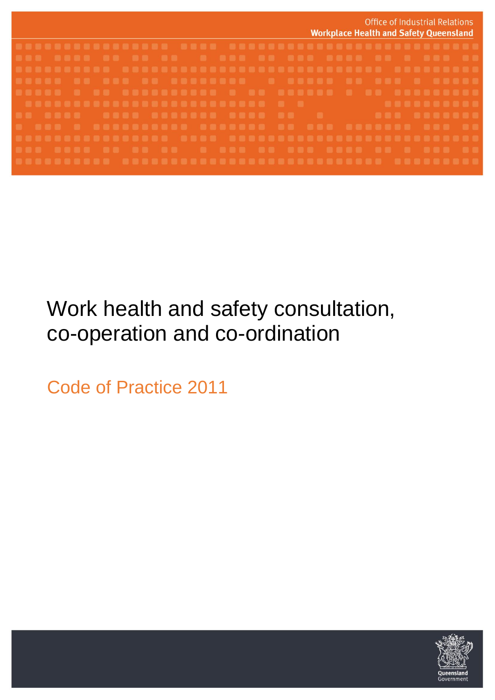|  | <b>Office of Industrial Relations</b><br><b>Workplace Health and Safety Queensland</b> |
|--|----------------------------------------------------------------------------------------|
|  |                                                                                        |
|  |                                                                                        |
|  |                                                                                        |
|  |                                                                                        |
|  |                                                                                        |
|  |                                                                                        |
|  |                                                                                        |
|  |                                                                                        |
|  |                                                                                        |
|  |                                                                                        |
|  |                                                                                        |

# Work health and safety consultation, co-operation and co-ordination

Code of Practice 2011

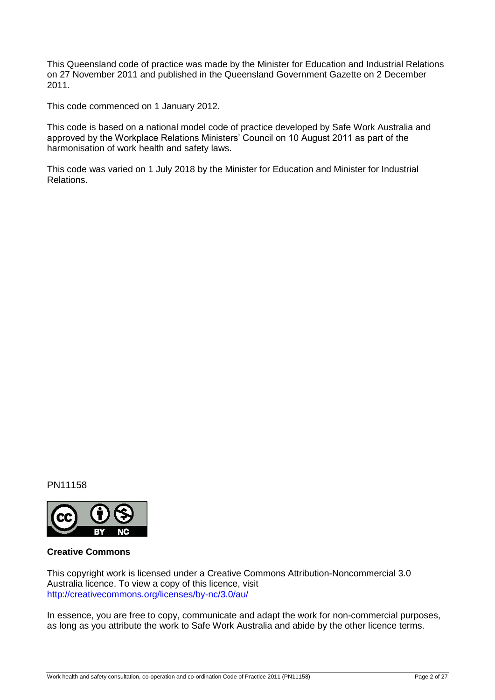This Queensland code of practice was made by the Minister for Education and Industrial Relations on 27 November 2011 and published in the Queensland Government Gazette on 2 December 2011.

This code commenced on 1 January 2012.

This code is based on a national model code of practice developed by Safe Work Australia and approved by the Workplace Relations Ministers' Council on 10 August 2011 as part of the harmonisation of work health and safety laws.

This code was varied on 1 July 2018 by the Minister for Education and Minister for Industrial Relations.

PN11158



#### **Creative Commons**

This copyright work is licensed under a Creative Commons Attribution-Noncommercial 3.0 Australia licence. To view a copy of this licence, visit <http://creativecommons.org/licenses/by-nc/3.0/au/>

In essence, you are free to copy, communicate and adapt the work for non-commercial purposes, as long as you attribute the work to Safe Work Australia and abide by the other licence terms.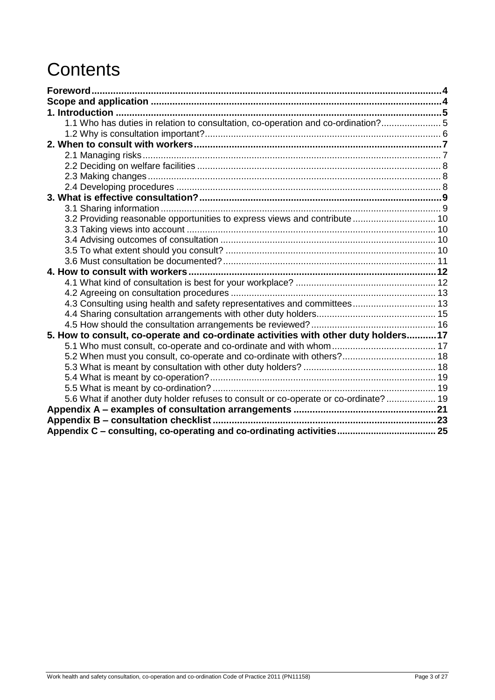# **Contents**

| 1.1 Who has duties in relation to consultation, co-operation and co-ordination? 5   |  |
|-------------------------------------------------------------------------------------|--|
|                                                                                     |  |
|                                                                                     |  |
|                                                                                     |  |
|                                                                                     |  |
|                                                                                     |  |
|                                                                                     |  |
|                                                                                     |  |
|                                                                                     |  |
| 3.2 Providing reasonable opportunities to express views and contribute  10          |  |
|                                                                                     |  |
|                                                                                     |  |
|                                                                                     |  |
|                                                                                     |  |
|                                                                                     |  |
|                                                                                     |  |
|                                                                                     |  |
| 4.3 Consulting using health and safety representatives and committees 13            |  |
|                                                                                     |  |
|                                                                                     |  |
| 5. How to consult, co-operate and co-ordinate activities with other duty holders17  |  |
|                                                                                     |  |
| 5.2 When must you consult, co-operate and co-ordinate with others? 18               |  |
|                                                                                     |  |
|                                                                                     |  |
| 5.6 What if another duty holder refuses to consult or co-operate or co-ordinate? 19 |  |
|                                                                                     |  |
|                                                                                     |  |
|                                                                                     |  |
|                                                                                     |  |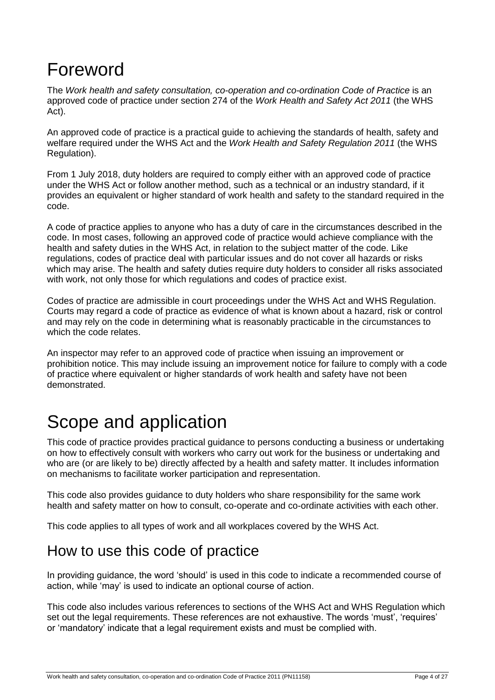# Foreword

The *Work health and safety consultation, co-operation and co-ordination Code of Practice* is an approved code of practice under section 274 of the *Work Health and Safety Act 2011* (the WHS Act).

An approved code of practice is a practical guide to achieving the standards of health, safety and welfare required under the WHS Act and the *Work Health and Safety Regulation 2011* (the WHS Regulation).

From 1 July 2018, duty holders are required to comply either with an approved code of practice under the WHS Act or follow another method, such as a technical or an industry standard, if it provides an equivalent or higher standard of work health and safety to the standard required in the code.

A code of practice applies to anyone who has a duty of care in the circumstances described in the code. In most cases, following an approved code of practice would achieve compliance with the health and safety duties in the WHS Act, in relation to the subject matter of the code. Like regulations, codes of practice deal with particular issues and do not cover all hazards or risks which may arise. The health and safety duties require duty holders to consider all risks associated with work, not only those for which regulations and codes of practice exist.

Codes of practice are admissible in court proceedings under the WHS Act and WHS Regulation. Courts may regard a code of practice as evidence of what is known about a hazard, risk or control and may rely on the code in determining what is reasonably practicable in the circumstances to which the code relates.

An inspector may refer to an approved code of practice when issuing an improvement or prohibition notice. This may include issuing an improvement notice for failure to comply with a code of practice where equivalent or higher standards of work health and safety have not been demonstrated.

# Scope and application

This code of practice provides practical guidance to persons conducting a business or undertaking on how to effectively consult with workers who carry out work for the business or undertaking and who are (or are likely to be) directly affected by a health and safety matter. It includes information on mechanisms to facilitate worker participation and representation.

This code also provides guidance to duty holders who share responsibility for the same work health and safety matter on how to consult, co-operate and co-ordinate activities with each other.

This code applies to all types of work and all workplaces covered by the WHS Act.

## How to use this code of practice

In providing guidance, the word 'should' is used in this code to indicate a recommended course of action, while 'may' is used to indicate an optional course of action.

This code also includes various references to sections of the WHS Act and WHS Regulation which set out the legal requirements. These references are not exhaustive. The words 'must', 'requires' or 'mandatory' indicate that a legal requirement exists and must be complied with.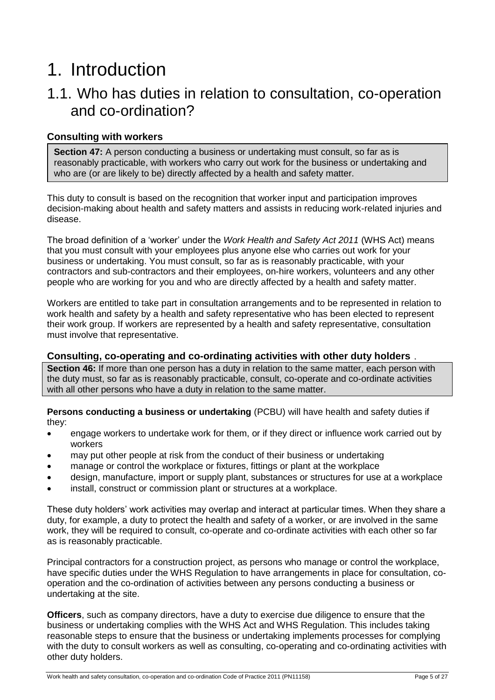# 1. Introduction

### 1.1. Who has duties in relation to consultation, co-operation and co-ordination?

#### **Consulting with workers**

**Section 47:** A person conducting a business or undertaking must consult, so far as is reasonably practicable, with workers who carry out work for the business or undertaking and who are (or are likely to be) directly affected by a health and safety matter.

This duty to consult is based on the recognition that worker input and participation improves decision-making about health and safety matters and assists in reducing work-related injuries and disease.

The broad definition of a 'worker' under the *Work Health and Safety Act 2011* (WHS Act) means that you must consult with your employees plus anyone else who carries out work for your business or undertaking. You must consult, so far as is reasonably practicable, with your contractors and sub-contractors and their employees, on-hire workers, volunteers and any other people who are working for you and who are directly affected by a health and safety matter.

Workers are entitled to take part in consultation arrangements and to be represented in relation to work health and safety by a health and safety representative who has been elected to represent their work group. If workers are represented by a health and safety representative, consultation must involve that representative.

#### **Consulting, co-operating and co-ordinating activities with other duty holders** *12*

**Section 46:** If more than one person has a duty in relation to the same matter, each person with the duty must, so far as is reasonably practicable, consult, co-operate and co-ordinate activities with all other persons who have a duty in relation to the same matter.

**Persons conducting a business or undertaking** (PCBU) will have health and safety duties if they:

- engage workers to undertake work for them, or if they direct or influence work carried out by workers
- may put other people at risk from the conduct of their business or undertaking
- manage or control the workplace or fixtures, fittings or plant at the workplace
- design, manufacture, import or supply plant, substances or structures for use at a workplace
- install, construct or commission plant or structures at a workplace.

These duty holders' work activities may overlap and interact at particular times. When they share a duty, for example, a duty to protect the health and safety of a worker, or are involved in the same work, they will be required to consult, co-operate and co-ordinate activities with each other so far as is reasonably practicable.

Principal contractors for a construction project, as persons who manage or control the workplace, have specific duties under the WHS Regulation to have arrangements in place for consultation, cooperation and the co-ordination of activities between any persons conducting a business or undertaking at the site.

**Officers**, such as company directors, have a duty to exercise due diligence to ensure that the business or undertaking complies with the WHS Act and WHS Regulation. This includes taking reasonable steps to ensure that the business or undertaking implements processes for complying with the duty to consult workers as well as consulting, co-operating and co-ordinating activities with other duty holders.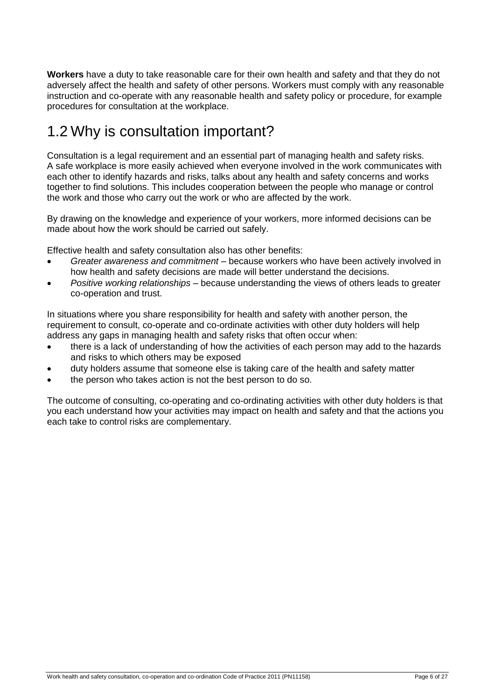**Workers** have a duty to take reasonable care for their own health and safety and that they do not adversely affect the health and safety of other persons. Workers must comply with any reasonable instruction and co-operate with any reasonable health and safety policy or procedure, for example procedures for consultation at the workplace.

## 1.2 Why is consultation important?

Consultation is a legal requirement and an essential part of managing health and safety risks. A safe workplace is more easily achieved when everyone involved in the work communicates with each other to identify hazards and risks, talks about any health and safety concerns and works together to find solutions. This includes cooperation between the people who manage or control the work and those who carry out the work or who are affected by the work.

By drawing on the knowledge and experience of your workers, more informed decisions can be made about how the work should be carried out safely.

Effective health and safety consultation also has other benefits:

- *Greater awareness and commitment*  because workers who have been actively involved in how health and safety decisions are made will better understand the decisions.
- *Positive working relationships*  because understanding the views of others leads to greater co-operation and trust.

In situations where you share responsibility for health and safety with another person, the requirement to consult, co-operate and co-ordinate activities with other duty holders will help address any gaps in managing health and safety risks that often occur when:

- there is a lack of understanding of how the activities of each person may add to the hazards and risks to which others may be exposed
- duty holders assume that someone else is taking care of the health and safety matter
- the person who takes action is not the best person to do so.

The outcome of consulting, co-operating and co-ordinating activities with other duty holders is that you each understand how your activities may impact on health and safety and that the actions you each take to control risks are complementary.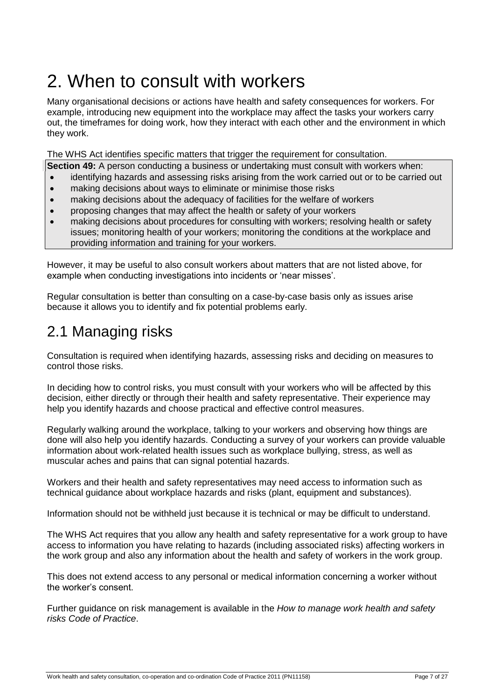# 2. When to consult with workers

Many organisational decisions or actions have health and safety consequences for workers. For example, introducing new equipment into the workplace may affect the tasks your workers carry out, the timeframes for doing work, how they interact with each other and the environment in which they work.

The WHS Act identifies specific matters that trigger the requirement for consultation.

**Section 49:** A person conducting a business or undertaking must consult with workers when:

- identifying hazards and assessing risks arising from the work carried out or to be carried out
- making decisions about ways to eliminate or minimise those risks
- making decisions about the adequacy of facilities for the welfare of workers
- proposing changes that may affect the health or safety of your workers
- making decisions about procedures for consulting with workers; resolving health or safety issues; monitoring health of your workers; monitoring the conditions at the workplace and providing information and training for your workers.

However, it may be useful to also consult workers about matters that are not listed above, for example when conducting investigations into incidents or 'near misses'.

Regular consultation is better than consulting on a case-by-case basis only as issues arise because it allows you to identify and fix potential problems early.

## 2.1 Managing risks

Consultation is required when identifying hazards, assessing risks and deciding on measures to control those risks.

In deciding how to control risks, you must consult with your workers who will be affected by this decision, either directly or through their health and safety representative. Their experience may help you identify hazards and choose practical and effective control measures.

Regularly walking around the workplace, talking to your workers and observing how things are done will also help you identify hazards. Conducting a survey of your workers can provide valuable information about work-related health issues such as workplace bullying, stress, as well as muscular aches and pains that can signal potential hazards.

Workers and their health and safety representatives may need access to information such as technical guidance about workplace hazards and risks (plant, equipment and substances).

Information should not be withheld just because it is technical or may be difficult to understand.

The WHS Act requires that you allow any health and safety representative for a work group to have access to information you have relating to hazards (including associated risks) affecting workers in the work group and also any information about the health and safety of workers in the work group.

This does not extend access to any personal or medical information concerning a worker without the worker's consent.

Further guidance on risk management is available in the *How to manage work health and safety risks Code of Practice*.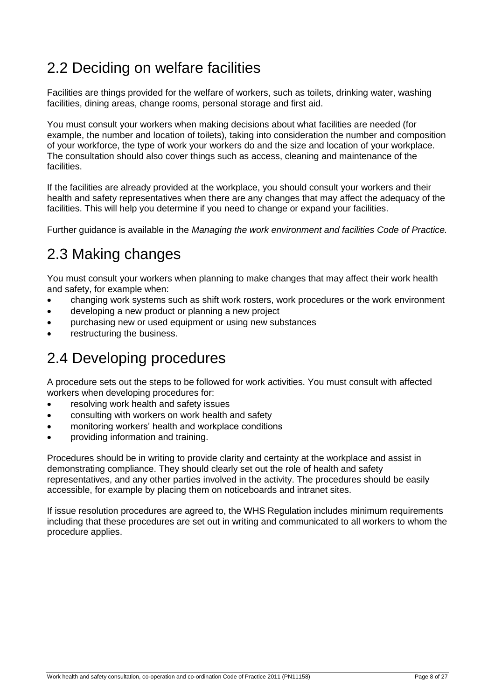## 2.2 Deciding on welfare facilities

Facilities are things provided for the welfare of workers, such as toilets, drinking water, washing facilities, dining areas, change rooms, personal storage and first aid.

You must consult your workers when making decisions about what facilities are needed (for example, the number and location of toilets), taking into consideration the number and composition of your workforce, the type of work your workers do and the size and location of your workplace. The consultation should also cover things such as access, cleaning and maintenance of the facilities.

If the facilities are already provided at the workplace, you should consult your workers and their health and safety representatives when there are any changes that may affect the adequacy of the facilities. This will help you determine if you need to change or expand your facilities.

Further guidance is available in the *Managing the work environment and facilities Code of Practice.* 

## 2.3 Making changes

You must consult your workers when planning to make changes that may affect their work health and safety, for example when:

- changing work systems such as shift work rosters, work procedures or the work environment
- developing a new product or planning a new project
- purchasing new or used equipment or using new substances
- restructuring the business.

## 2.4 Developing procedures

A procedure sets out the steps to be followed for work activities. You must consult with affected workers when developing procedures for:

- resolving work health and safety issues
- consulting with workers on work health and safety
- monitoring workers' health and workplace conditions
- providing information and training.

Procedures should be in writing to provide clarity and certainty at the workplace and assist in demonstrating compliance. They should clearly set out the role of health and safety representatives, and any other parties involved in the activity. The procedures should be easily accessible, for example by placing them on noticeboards and intranet sites.

If issue resolution procedures are agreed to, the WHS Regulation includes minimum requirements including that these procedures are set out in writing and communicated to all workers to whom the procedure applies.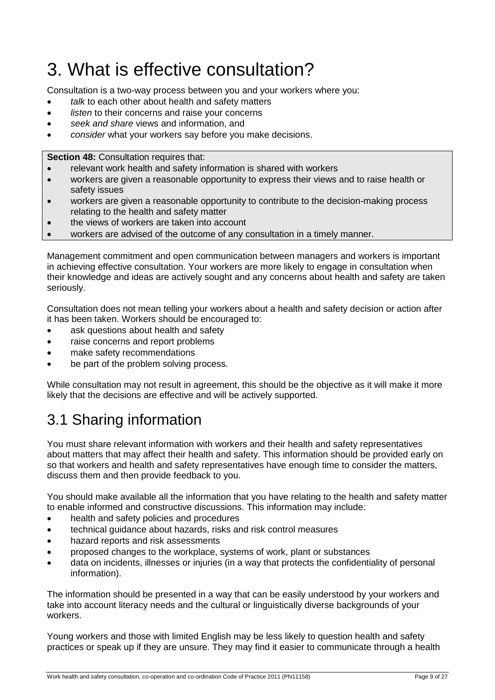# 3. What is effective consultation?

Consultation is a two-way process between you and your workers where you:

- *talk* to each other about health and safety matters
- *listen* to their concerns and raise your concerns
- *seek and share* views and information, and
- *consider* what your workers say before you make decisions.

**Section 48:** Consultation requires that:

- relevant work health and safety information is shared with workers
- workers are given a reasonable opportunity to express their views and to raise health or safety issues
- workers are given a reasonable opportunity to contribute to the decision-making process relating to the health and safety matter
- the views of workers are taken into account
- workers are advised of the outcome of any consultation in a timely manner.

Management commitment and open communication between managers and workers is important in achieving effective consultation. Your workers are more likely to engage in consultation when their knowledge and ideas are actively sought and any concerns about health and safety are taken seriously.

Consultation does not mean telling your workers about a health and safety decision or action after it has been taken. Workers should be encouraged to:

- ask questions about health and safety
- raise concerns and report problems
- make safety recommendations
- be part of the problem solving process.

While consultation may not result in agreement, this should be the objective as it will make it more likely that the decisions are effective and will be actively supported.

## 3.1 Sharing information

You must share relevant information with workers and their health and safety representatives about matters that may affect their health and safety. This information should be provided early on so that workers and health and safety representatives have enough time to consider the matters, discuss them and then provide feedback to you.

You should make available all the information that you have relating to the health and safety matter to enable informed and constructive discussions. This information may include:

- health and safety policies and procedures
- technical guidance about hazards, risks and risk control measures
- hazard reports and risk assessments
- proposed changes to the workplace, systems of work, plant or substances
- data on incidents, illnesses or injuries (in a way that protects the confidentiality of personal information).

The information should be presented in a way that can be easily understood by your workers and take into account literacy needs and the cultural or linguistically diverse backgrounds of your workers.

Young workers and those with limited English may be less likely to question health and safety practices or speak up if they are unsure. They may find it easier to communicate through a health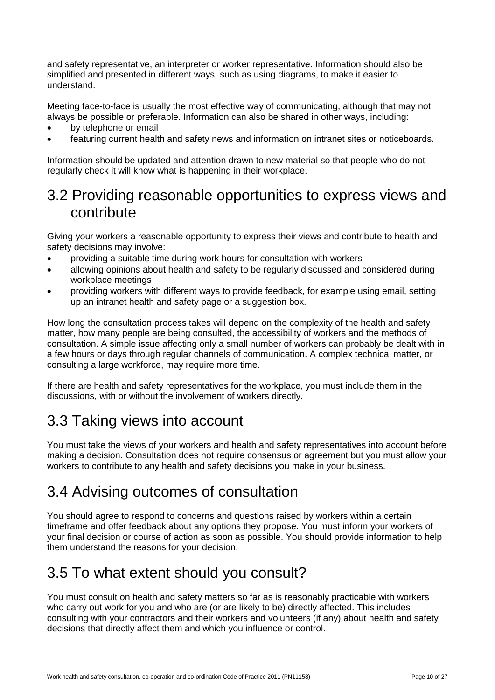and safety representative, an interpreter or worker representative. Information should also be simplified and presented in different ways, such as using diagrams, to make it easier to understand.

Meeting face-to-face is usually the most effective way of communicating, although that may not always be possible or preferable. Information can also be shared in other ways, including:

- by telephone or email
- featuring current health and safety news and information on intranet sites or noticeboards.

Information should be updated and attention drawn to new material so that people who do not regularly check it will know what is happening in their workplace.

### 3.2 Providing reasonable opportunities to express views and contribute

Giving your workers a reasonable opportunity to express their views and contribute to health and safety decisions may involve:

- providing a suitable time during work hours for consultation with workers
- allowing opinions about health and safety to be regularly discussed and considered during workplace meetings
- providing workers with different ways to provide feedback, for example using email, setting up an intranet health and safety page or a suggestion box.

How long the consultation process takes will depend on the complexity of the health and safety matter, how many people are being consulted, the accessibility of workers and the methods of consultation. A simple issue affecting only a small number of workers can probably be dealt with in a few hours or days through regular channels of communication. A complex technical matter, or consulting a large workforce, may require more time.

If there are health and safety representatives for the workplace, you must include them in the discussions, with or without the involvement of workers directly.

## 3.3 Taking views into account

You must take the views of your workers and health and safety representatives into account before making a decision. Consultation does not require consensus or agreement but you must allow your workers to contribute to any health and safety decisions you make in your business.

## 3.4 Advising outcomes of consultation

You should agree to respond to concerns and questions raised by workers within a certain timeframe and offer feedback about any options they propose. You must inform your workers of your final decision or course of action as soon as possible. You should provide information to help them understand the reasons for your decision.

## 3.5 To what extent should you consult?

You must consult on health and safety matters so far as is reasonably practicable with workers who carry out work for you and who are (or are likely to be) directly affected. This includes consulting with your contractors and their workers and volunteers (if any) about health and safety decisions that directly affect them and which you influence or control.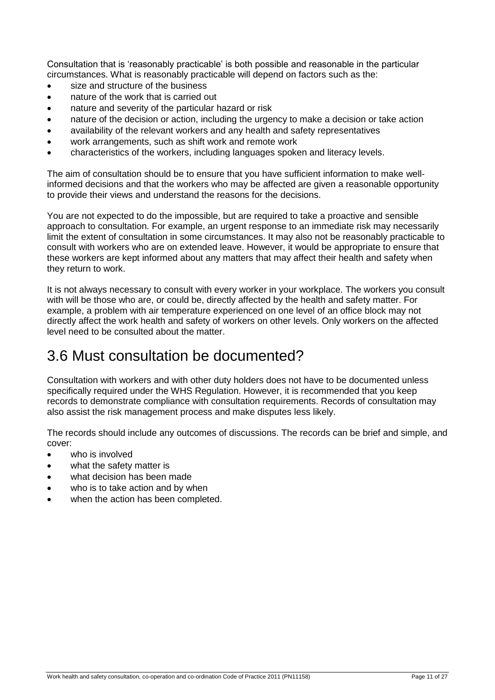Consultation that is 'reasonably practicable' is both possible and reasonable in the particular circumstances. What is reasonably practicable will depend on factors such as the:

- size and structure of the business
- nature of the work that is carried out
- nature and severity of the particular hazard or risk
- nature of the decision or action, including the urgency to make a decision or take action
- availability of the relevant workers and any health and safety representatives
- work arrangements, such as shift work and remote work
- characteristics of the workers, including languages spoken and literacy levels.

The aim of consultation should be to ensure that you have sufficient information to make wellinformed decisions and that the workers who may be affected are given a reasonable opportunity to provide their views and understand the reasons for the decisions.

You are not expected to do the impossible, but are required to take a proactive and sensible approach to consultation. For example, an urgent response to an immediate risk may necessarily limit the extent of consultation in some circumstances. It may also not be reasonably practicable to consult with workers who are on extended leave. However, it would be appropriate to ensure that these workers are kept informed about any matters that may affect their health and safety when they return to work.

It is not always necessary to consult with every worker in your workplace. The workers you consult with will be those who are, or could be, directly affected by the health and safety matter. For example, a problem with air temperature experienced on one level of an office block may not directly affect the work health and safety of workers on other levels. Only workers on the affected level need to be consulted about the matter.

## 3.6 Must consultation be documented?

Consultation with workers and with other duty holders does not have to be documented unless specifically required under the WHS Regulation. However, it is recommended that you keep records to demonstrate compliance with consultation requirements. Records of consultation may also assist the risk management process and make disputes less likely.

The records should include any outcomes of discussions. The records can be brief and simple, and cover:

- who is involved
- what the safety matter is
- what decision has been made
- who is to take action and by when
- when the action has been completed.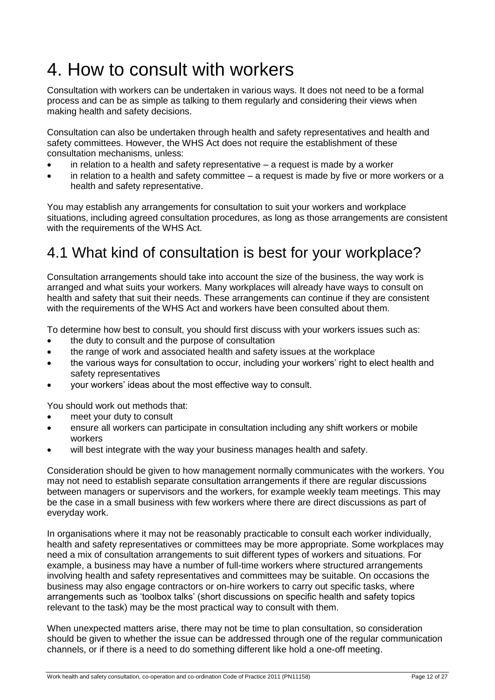# 4. How to consult with workers

Consultation with workers can be undertaken in various ways. It does not need to be a formal process and can be as simple as talking to them regularly and considering their views when making health and safety decisions.

Consultation can also be undertaken through health and safety representatives and health and safety committees. However, the WHS Act does not require the establishment of these consultation mechanisms, unless:

- in relation to a health and safety representative a request is made by a worker
- in relation to a health and safety committee a request is made by five or more workers or a health and safety representative.

You may establish any arrangements for consultation to suit your workers and workplace situations, including agreed consultation procedures, as long as those arrangements are consistent with the requirements of the WHS Act.

## 4.1 What kind of consultation is best for your workplace?

Consultation arrangements should take into account the size of the business, the way work is arranged and what suits your workers. Many workplaces will already have ways to consult on health and safety that suit their needs. These arrangements can continue if they are consistent with the requirements of the WHS Act and workers have been consulted about them.

To determine how best to consult, you should first discuss with your workers issues such as:

- the duty to consult and the purpose of consultation
- the range of work and associated health and safety issues at the workplace
- the various ways for consultation to occur, including your workers' right to elect health and safety representatives
- your workers' ideas about the most effective way to consult.

You should work out methods that:

- meet your duty to consult
- ensure all workers can participate in consultation including any shift workers or mobile workers
- will best integrate with the way your business manages health and safety.

Consideration should be given to how management normally communicates with the workers. You may not need to establish separate consultation arrangements if there are regular discussions between managers or supervisors and the workers, for example weekly team meetings. This may be the case in a small business with few workers where there are direct discussions as part of everyday work.

In organisations where it may not be reasonably practicable to consult each worker individually, health and safety representatives or committees may be more appropriate. Some workplaces may need a mix of consultation arrangements to suit different types of workers and situations. For example, a business may have a number of full-time workers where structured arrangements involving health and safety representatives and committees may be suitable. On occasions the business may also engage contractors or on-hire workers to carry out specific tasks, where arrangements such as 'toolbox talks' (short discussions on specific health and safety topics relevant to the task) may be the most practical way to consult with them.

When unexpected matters arise, there may not be time to plan consultation, so consideration should be given to whether the issue can be addressed through one of the regular communication channels, or if there is a need to do something different like hold a one-off meeting.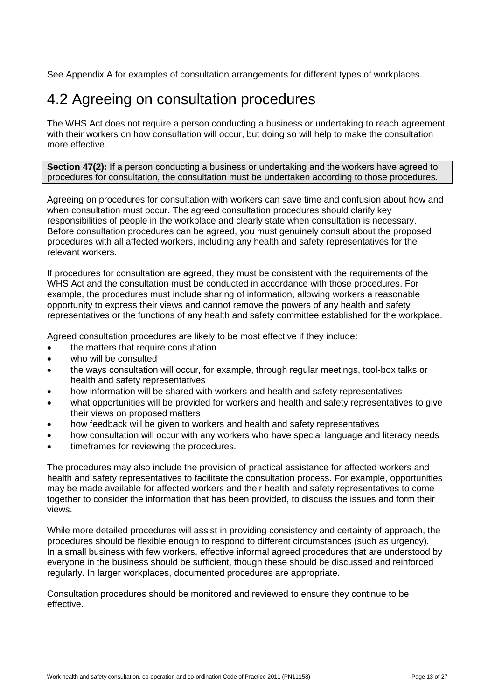See Appendix A for examples of consultation arrangements for different types of workplaces.

## 4.2 Agreeing on consultation procedures

The WHS Act does not require a person conducting a business or undertaking to reach agreement with their workers on how consultation will occur, but doing so will help to make the consultation more effective.

**Section 47(2):** If a person conducting a business or undertaking and the workers have agreed to procedures for consultation, the consultation must be undertaken according to those procedures.

Agreeing on procedures for consultation with workers can save time and confusion about how and when consultation must occur. The agreed consultation procedures should clarify key responsibilities of people in the workplace and clearly state when consultation is necessary. Before consultation procedures can be agreed, you must genuinely consult about the proposed procedures with all affected workers, including any health and safety representatives for the relevant workers.

If procedures for consultation are agreed, they must be consistent with the requirements of the WHS Act and the consultation must be conducted in accordance with those procedures. For example, the procedures must include sharing of information, allowing workers a reasonable opportunity to express their views and cannot remove the powers of any health and safety representatives or the functions of any health and safety committee established for the workplace.

Agreed consultation procedures are likely to be most effective if they include:

- the matters that require consultation
- who will be consulted
- the ways consultation will occur, for example, through regular meetings, tool-box talks or health and safety representatives
- how information will be shared with workers and health and safety representatives
- what opportunities will be provided for workers and health and safety representatives to give their views on proposed matters
- how feedback will be given to workers and health and safety representatives
- how consultation will occur with any workers who have special language and literacy needs
- timeframes for reviewing the procedures.

The procedures may also include the provision of practical assistance for affected workers and health and safety representatives to facilitate the consultation process. For example, opportunities may be made available for affected workers and their health and safety representatives to come together to consider the information that has been provided, to discuss the issues and form their views.

While more detailed procedures will assist in providing consistency and certainty of approach, the procedures should be flexible enough to respond to different circumstances (such as urgency). In a small business with few workers, effective informal agreed procedures that are understood by everyone in the business should be sufficient, though these should be discussed and reinforced regularly. In larger workplaces, documented procedures are appropriate.

Consultation procedures should be monitored and reviewed to ensure they continue to be effective.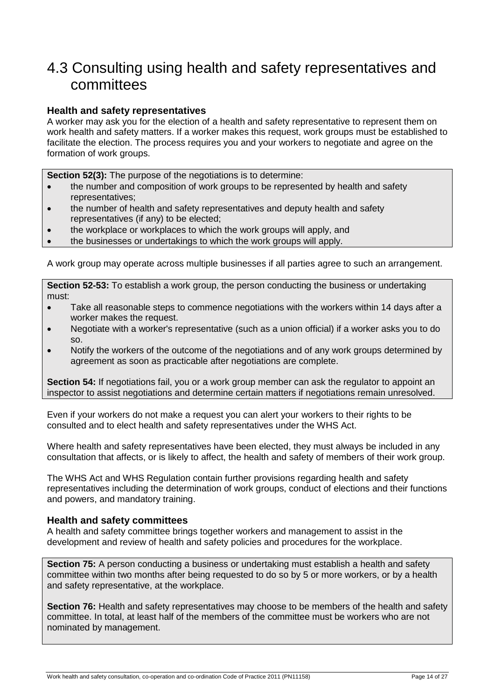### 4.3 Consulting using health and safety representatives and committees

#### **Health and safety representatives**

A worker may ask you for the election of a health and safety representative to represent them on work health and safety matters. If a worker makes this request, work groups must be established to facilitate the election. The process requires you and your workers to negotiate and agree on the formation of work groups.

**Section 52(3):** The purpose of the negotiations is to determine:

- the number and composition of work groups to be represented by health and safety representatives;
- the number of health and safety representatives and deputy health and safety representatives (if any) to be elected;
- the workplace or workplaces to which the work groups will apply, and
- the businesses or undertakings to which the work groups will apply.

A work group may operate across multiple businesses if all parties agree to such an arrangement.

**Section 52-53:** To establish a work group, the person conducting the business or undertaking must:

- Take all reasonable steps to commence negotiations with the workers within 14 days after a worker makes the request.
- Negotiate with a worker's representative (such as a union official) if a worker asks you to do so.
- Notify the workers of the outcome of the negotiations and of any work groups determined by agreement as soon as practicable after negotiations are complete.

**Section 54:** If negotiations fail, you or a work group member can ask the regulator to appoint an inspector to assist negotiations and determine certain matters if negotiations remain unresolved.

Even if your workers do not make a request you can alert your workers to their rights to be consulted and to elect health and safety representatives under the WHS Act.

Where health and safety representatives have been elected, they must always be included in any consultation that affects, or is likely to affect, the health and safety of members of their work group.

The WHS Act and WHS Regulation contain further provisions regarding health and safety representatives including the determination of work groups, conduct of elections and their functions and powers, and mandatory training.

#### **Health and safety committees**

A health and safety committee brings together workers and management to assist in the development and review of health and safety policies and procedures for the workplace.

**Section 75:** A person conducting a business or undertaking must establish a health and safety committee within two months after being requested to do so by 5 or more workers, or by a health and safety representative, at the workplace.

**Section 76:** Health and safety representatives may choose to be members of the health and safety committee. In total, at least half of the members of the committee must be workers who are not nominated by management.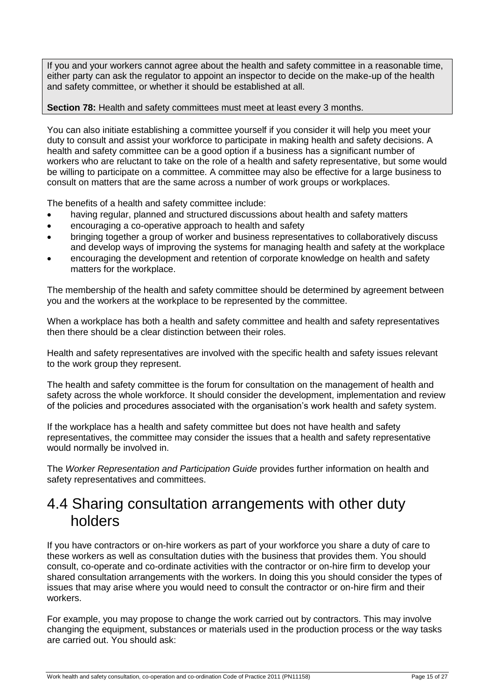If you and your workers cannot agree about the health and safety committee in a reasonable time, either party can ask the regulator to appoint an inspector to decide on the make-up of the health and safety committee, or whether it should be established at all.

#### **Section 78:** Health and safety committees must meet at least every 3 months.

You can also initiate establishing a committee yourself if you consider it will help you meet your duty to consult and assist your workforce to participate in making health and safety decisions. A health and safety committee can be a good option if a business has a significant number of workers who are reluctant to take on the role of a health and safety representative, but some would be willing to participate on a committee. A committee may also be effective for a large business to consult on matters that are the same across a number of work groups or workplaces.

The benefits of a health and safety committee include:

- having regular, planned and structured discussions about health and safety matters
- encouraging a co-operative approach to health and safety
- bringing together a group of worker and business representatives to collaboratively discuss and develop ways of improving the systems for managing health and safety at the workplace
- encouraging the development and retention of corporate knowledge on health and safety matters for the workplace.

The membership of the health and safety committee should be determined by agreement between you and the workers at the workplace to be represented by the committee.

When a workplace has both a health and safety committee and health and safety representatives then there should be a clear distinction between their roles.

Health and safety representatives are involved with the specific health and safety issues relevant to the work group they represent.

The health and safety committee is the forum for consultation on the management of health and safety across the whole workforce. It should consider the development, implementation and review of the policies and procedures associated with the organisation's work health and safety system.

If the workplace has a health and safety committee but does not have health and safety representatives, the committee may consider the issues that a health and safety representative would normally be involved in.

The *Worker Representation and Participation Guide* provides further information on health and safety representatives and committees.

### 4.4 Sharing consultation arrangements with other duty holders

If you have contractors or on-hire workers as part of your workforce you share a duty of care to these workers as well as consultation duties with the business that provides them. You should consult, co-operate and co-ordinate activities with the contractor or on-hire firm to develop your shared consultation arrangements with the workers. In doing this you should consider the types of issues that may arise where you would need to consult the contractor or on-hire firm and their workers.

For example, you may propose to change the work carried out by contractors. This may involve changing the equipment, substances or materials used in the production process or the way tasks are carried out. You should ask: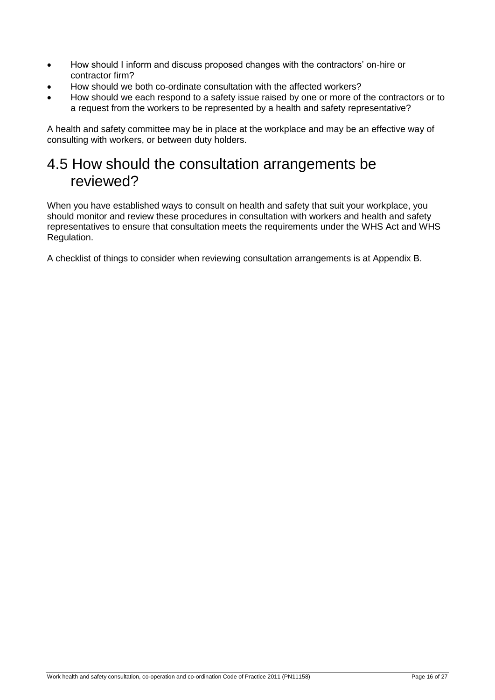- How should I inform and discuss proposed changes with the contractors' on-hire or contractor firm?
- How should we both co-ordinate consultation with the affected workers?
- How should we each respond to a safety issue raised by one or more of the contractors or to a request from the workers to be represented by a health and safety representative?

A health and safety committee may be in place at the workplace and may be an effective way of consulting with workers, or between duty holders.

### 4.5 How should the consultation arrangements be reviewed?

When you have established ways to consult on health and safety that suit your workplace, you should monitor and review these procedures in consultation with workers and health and safety representatives to ensure that consultation meets the requirements under the WHS Act and WHS Regulation.

A checklist of things to consider when reviewing consultation arrangements is at Appendix B.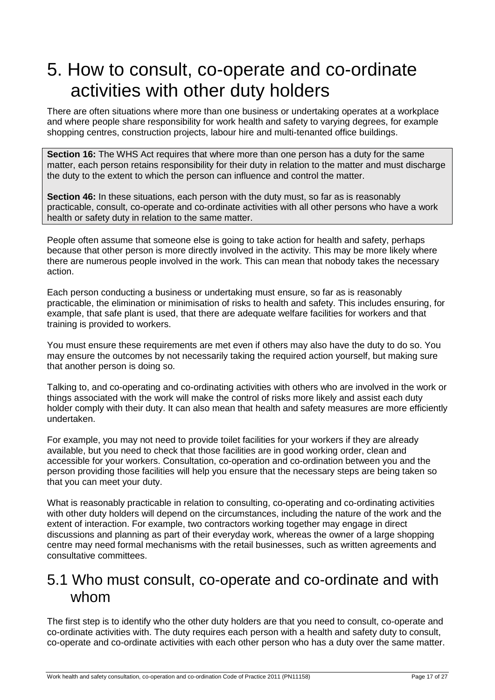# 5. How to consult, co-operate and co-ordinate activities with other duty holders

There are often situations where more than one business or undertaking operates at a workplace and where people share responsibility for work health and safety to varying degrees, for example shopping centres, construction projects, labour hire and multi-tenanted office buildings.

**Section 16:** The WHS Act requires that where more than one person has a duty for the same matter, each person retains responsibility for their duty in relation to the matter and must discharge the duty to the extent to which the person can influence and control the matter.

**Section 46:** In these situations, each person with the duty must, so far as is reasonably practicable, consult, co-operate and co-ordinate activities with all other persons who have a work health or safety duty in relation to the same matter.

People often assume that someone else is going to take action for health and safety, perhaps because that other person is more directly involved in the activity. This may be more likely where there are numerous people involved in the work. This can mean that nobody takes the necessary action.

Each person conducting a business or undertaking must ensure, so far as is reasonably practicable, the elimination or minimisation of risks to health and safety. This includes ensuring, for example, that safe plant is used, that there are adequate welfare facilities for workers and that training is provided to workers.

You must ensure these requirements are met even if others may also have the duty to do so. You may ensure the outcomes by not necessarily taking the required action yourself, but making sure that another person is doing so.

Talking to, and co-operating and co-ordinating activities with others who are involved in the work or things associated with the work will make the control of risks more likely and assist each duty holder comply with their duty. It can also mean that health and safety measures are more efficiently undertaken.

For example, you may not need to provide toilet facilities for your workers if they are already available, but you need to check that those facilities are in good working order, clean and accessible for your workers. Consultation, co-operation and co-ordination between you and the person providing those facilities will help you ensure that the necessary steps are being taken so that you can meet your duty.

What is reasonably practicable in relation to consulting, co-operating and co-ordinating activities with other duty holders will depend on the circumstances, including the nature of the work and the extent of interaction. For example, two contractors working together may engage in direct discussions and planning as part of their everyday work, whereas the owner of a large shopping centre may need formal mechanisms with the retail businesses, such as written agreements and consultative committees.

#### 5.1 Who must consult, co-operate and co-ordinate and with whom

The first step is to identify who the other duty holders are that you need to consult, co-operate and co-ordinate activities with. The duty requires each person with a health and safety duty to consult, co-operate and co-ordinate activities with each other person who has a duty over the same matter.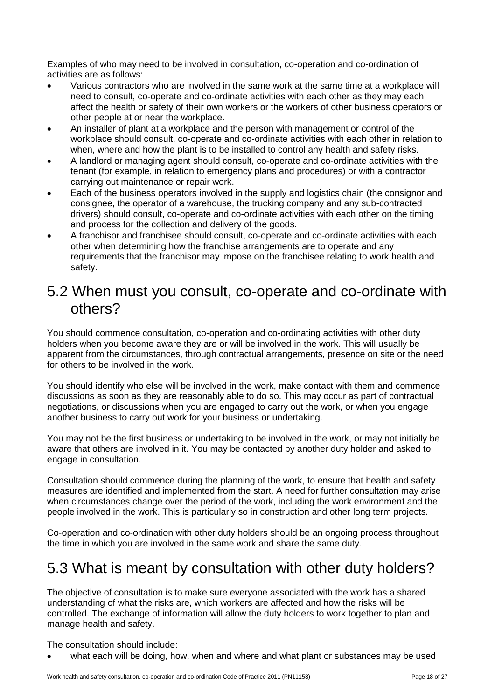Examples of who may need to be involved in consultation, co-operation and co-ordination of activities are as follows:

- Various contractors who are involved in the same work at the same time at a workplace will need to consult, co-operate and co-ordinate activities with each other as they may each affect the health or safety of their own workers or the workers of other business operators or other people at or near the workplace.
- An installer of plant at a workplace and the person with management or control of the workplace should consult, co-operate and co-ordinate activities with each other in relation to when, where and how the plant is to be installed to control any health and safety risks.
- A landlord or managing agent should consult, co-operate and co-ordinate activities with the tenant (for example, in relation to emergency plans and procedures) or with a contractor carrying out maintenance or repair work.
- Each of the business operators involved in the supply and logistics chain (the consignor and consignee, the operator of a warehouse, the trucking company and any sub-contracted drivers) should consult, co-operate and co-ordinate activities with each other on the timing and process for the collection and delivery of the goods.
- A franchisor and franchisee should consult, co-operate and co-ordinate activities with each other when determining how the franchise arrangements are to operate and any requirements that the franchisor may impose on the franchisee relating to work health and safety.

### 5.2 When must you consult, co-operate and co-ordinate with others?

You should commence consultation, co-operation and co-ordinating activities with other duty holders when you become aware they are or will be involved in the work. This will usually be apparent from the circumstances, through contractual arrangements, presence on site or the need for others to be involved in the work.

You should identify who else will be involved in the work, make contact with them and commence discussions as soon as they are reasonably able to do so. This may occur as part of contractual negotiations, or discussions when you are engaged to carry out the work, or when you engage another business to carry out work for your business or undertaking.

You may not be the first business or undertaking to be involved in the work, or may not initially be aware that others are involved in it. You may be contacted by another duty holder and asked to engage in consultation.

Consultation should commence during the planning of the work, to ensure that health and safety measures are identified and implemented from the start. A need for further consultation may arise when circumstances change over the period of the work, including the work environment and the people involved in the work. This is particularly so in construction and other long term projects.

Co-operation and co-ordination with other duty holders should be an ongoing process throughout the time in which you are involved in the same work and share the same duty.

## 5.3 What is meant by consultation with other duty holders?

The objective of consultation is to make sure everyone associated with the work has a shared understanding of what the risks are, which workers are affected and how the risks will be controlled. The exchange of information will allow the duty holders to work together to plan and manage health and safety.

The consultation should include:

what each will be doing, how, when and where and what plant or substances may be used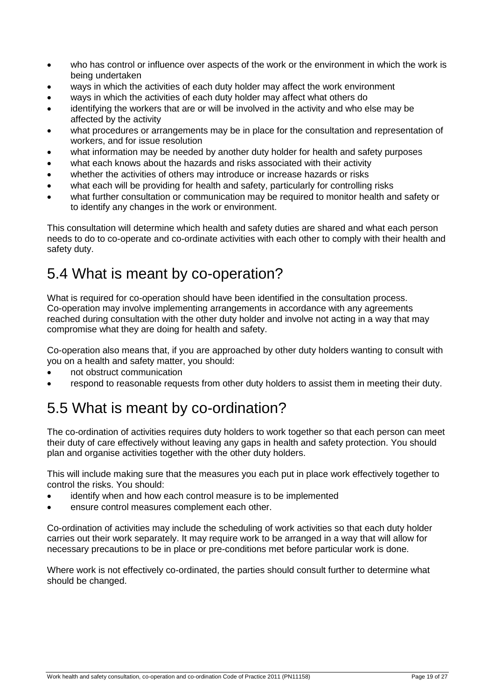- who has control or influence over aspects of the work or the environment in which the work is being undertaken
- ways in which the activities of each duty holder may affect the work environment
- ways in which the activities of each duty holder may affect what others do
- identifying the workers that are or will be involved in the activity and who else may be affected by the activity
- what procedures or arrangements may be in place for the consultation and representation of workers, and for issue resolution
- what information may be needed by another duty holder for health and safety purposes
- what each knows about the hazards and risks associated with their activity
- whether the activities of others may introduce or increase hazards or risks
- what each will be providing for health and safety, particularly for controlling risks
- what further consultation or communication may be required to monitor health and safety or to identify any changes in the work or environment.

This consultation will determine which health and safety duties are shared and what each person needs to do to co-operate and co-ordinate activities with each other to comply with their health and safety duty.

## 5.4 What is meant by co-operation?

What is required for co-operation should have been identified in the consultation process. Co-operation may involve implementing arrangements in accordance with any agreements reached during consultation with the other duty holder and involve not acting in a way that may compromise what they are doing for health and safety.

Co-operation also means that, if you are approached by other duty holders wanting to consult with you on a health and safety matter, you should:

- not obstruct communication
- respond to reasonable requests from other duty holders to assist them in meeting their duty.

# 5.5 What is meant by co-ordination?

The co-ordination of activities requires duty holders to work together so that each person can meet their duty of care effectively without leaving any gaps in health and safety protection. You should plan and organise activities together with the other duty holders.

This will include making sure that the measures you each put in place work effectively together to control the risks. You should:

- identify when and how each control measure is to be implemented
- ensure control measures complement each other.

Co-ordination of activities may include the scheduling of work activities so that each duty holder carries out their work separately. It may require work to be arranged in a way that will allow for necessary precautions to be in place or pre-conditions met before particular work is done.

Where work is not effectively co-ordinated, the parties should consult further to determine what should be changed.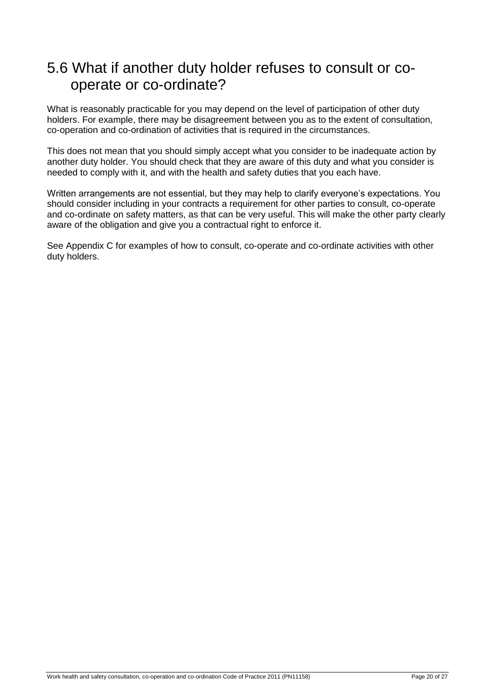### 5.6 What if another duty holder refuses to consult or cooperate or co-ordinate?

What is reasonably practicable for you may depend on the level of participation of other duty holders. For example, there may be disagreement between you as to the extent of consultation, co-operation and co-ordination of activities that is required in the circumstances.

This does not mean that you should simply accept what you consider to be inadequate action by another duty holder. You should check that they are aware of this duty and what you consider is needed to comply with it, and with the health and safety duties that you each have.

Written arrangements are not essential, but they may help to clarify everyone's expectations. You should consider including in your contracts a requirement for other parties to consult, co-operate and co-ordinate on safety matters, as that can be very useful. This will make the other party clearly aware of the obligation and give you a contractual right to enforce it.

See Appendix C for examples of how to consult, co-operate and co-ordinate activities with other duty holders.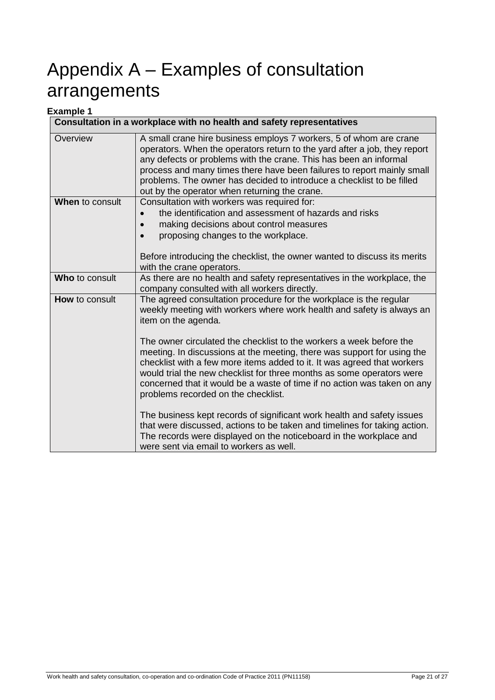# Appendix A – Examples of consultation arrangements

#### **Example 1**

| Consultation in a workplace with no health and safety representatives |                                                                                                                                                                                                                                                                                                                                                                                                                          |
|-----------------------------------------------------------------------|--------------------------------------------------------------------------------------------------------------------------------------------------------------------------------------------------------------------------------------------------------------------------------------------------------------------------------------------------------------------------------------------------------------------------|
| Overview                                                              | A small crane hire business employs 7 workers, 5 of whom are crane<br>operators. When the operators return to the yard after a job, they report<br>any defects or problems with the crane. This has been an informal<br>process and many times there have been failures to report mainly small<br>problems. The owner has decided to introduce a checklist to be filled<br>out by the operator when returning the crane. |
| When to consult                                                       | Consultation with workers was required for:<br>the identification and assessment of hazards and risks<br>making decisions about control measures<br>proposing changes to the workplace.<br>Before introducing the checklist, the owner wanted to discuss its merits<br>with the crane operators.                                                                                                                         |
| Who to consult                                                        | As there are no health and safety representatives in the workplace, the<br>company consulted with all workers directly.                                                                                                                                                                                                                                                                                                  |
| <b>How</b> to consult                                                 | The agreed consultation procedure for the workplace is the regular<br>weekly meeting with workers where work health and safety is always an<br>item on the agenda.                                                                                                                                                                                                                                                       |
|                                                                       | The owner circulated the checklist to the workers a week before the<br>meeting. In discussions at the meeting, there was support for using the<br>checklist with a few more items added to it. It was agreed that workers<br>would trial the new checklist for three months as some operators were<br>concerned that it would be a waste of time if no action was taken on any<br>problems recorded on the checklist.    |
|                                                                       | The business kept records of significant work health and safety issues<br>that were discussed, actions to be taken and timelines for taking action.<br>The records were displayed on the noticeboard in the workplace and<br>were sent via email to workers as well.                                                                                                                                                     |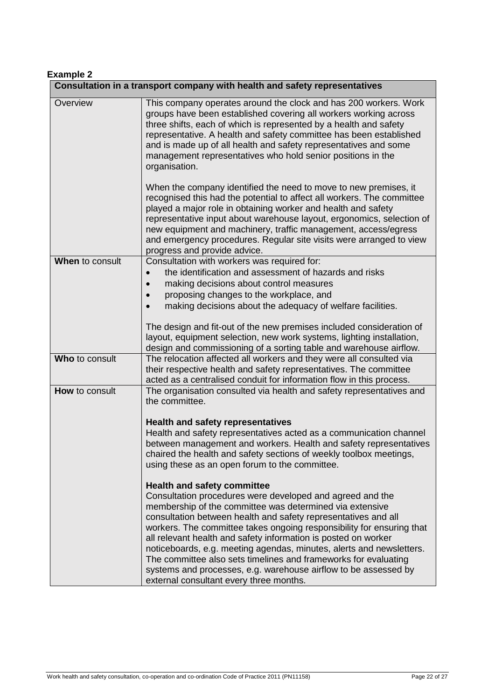#### **Example 2**

|                 | Consultation in a transport company with health and safety representatives                                                                                                                                                                                                                                                                                                                                                                                    |
|-----------------|---------------------------------------------------------------------------------------------------------------------------------------------------------------------------------------------------------------------------------------------------------------------------------------------------------------------------------------------------------------------------------------------------------------------------------------------------------------|
| Overview        | This company operates around the clock and has 200 workers. Work<br>groups have been established covering all workers working across<br>three shifts, each of which is represented by a health and safety<br>representative. A health and safety committee has been established<br>and is made up of all health and safety representatives and some<br>management representatives who hold senior positions in the<br>organisation.                           |
|                 | When the company identified the need to move to new premises, it<br>recognised this had the potential to affect all workers. The committee<br>played a major role in obtaining worker and health and safety<br>representative input about warehouse layout, ergonomics, selection of<br>new equipment and machinery, traffic management, access/egress<br>and emergency procedures. Regular site visits were arranged to view<br>progress and provide advice. |
| When to consult | Consultation with workers was required for:                                                                                                                                                                                                                                                                                                                                                                                                                   |
|                 | the identification and assessment of hazards and risks                                                                                                                                                                                                                                                                                                                                                                                                        |
|                 | making decisions about control measures                                                                                                                                                                                                                                                                                                                                                                                                                       |
|                 | proposing changes to the workplace, and                                                                                                                                                                                                                                                                                                                                                                                                                       |
|                 | making decisions about the adequacy of welfare facilities.                                                                                                                                                                                                                                                                                                                                                                                                    |
|                 | The design and fit-out of the new premises included consideration of                                                                                                                                                                                                                                                                                                                                                                                          |
|                 | layout, equipment selection, new work systems, lighting installation,                                                                                                                                                                                                                                                                                                                                                                                         |
|                 | design and commissioning of a sorting table and warehouse airflow.                                                                                                                                                                                                                                                                                                                                                                                            |
| Who to consult  | The relocation affected all workers and they were all consulted via                                                                                                                                                                                                                                                                                                                                                                                           |
|                 | their respective health and safety representatives. The committee<br>acted as a centralised conduit for information flow in this process.                                                                                                                                                                                                                                                                                                                     |
| How to consult  | The organisation consulted via health and safety representatives and                                                                                                                                                                                                                                                                                                                                                                                          |
|                 | the committee.                                                                                                                                                                                                                                                                                                                                                                                                                                                |
|                 |                                                                                                                                                                                                                                                                                                                                                                                                                                                               |
|                 | <b>Health and safety representatives</b>                                                                                                                                                                                                                                                                                                                                                                                                                      |
|                 | Health and safety representatives acted as a communication channel                                                                                                                                                                                                                                                                                                                                                                                            |
|                 | between management and workers. Health and safety representatives                                                                                                                                                                                                                                                                                                                                                                                             |
|                 | chaired the health and safety sections of weekly toolbox meetings,                                                                                                                                                                                                                                                                                                                                                                                            |
|                 | using these as an open forum to the committee.                                                                                                                                                                                                                                                                                                                                                                                                                |
|                 | <b>Health and safety committee</b>                                                                                                                                                                                                                                                                                                                                                                                                                            |
|                 | Consultation procedures were developed and agreed and the                                                                                                                                                                                                                                                                                                                                                                                                     |
|                 | membership of the committee was determined via extensive                                                                                                                                                                                                                                                                                                                                                                                                      |
|                 | consultation between health and safety representatives and all                                                                                                                                                                                                                                                                                                                                                                                                |
|                 | workers. The committee takes ongoing responsibility for ensuring that                                                                                                                                                                                                                                                                                                                                                                                         |
|                 | all relevant health and safety information is posted on worker                                                                                                                                                                                                                                                                                                                                                                                                |
|                 | noticeboards, e.g. meeting agendas, minutes, alerts and newsletters.                                                                                                                                                                                                                                                                                                                                                                                          |
|                 | The committee also sets timelines and frameworks for evaluating                                                                                                                                                                                                                                                                                                                                                                                               |
|                 | systems and processes, e.g. warehouse airflow to be assessed by<br>external consultant every three months.                                                                                                                                                                                                                                                                                                                                                    |
|                 |                                                                                                                                                                                                                                                                                                                                                                                                                                                               |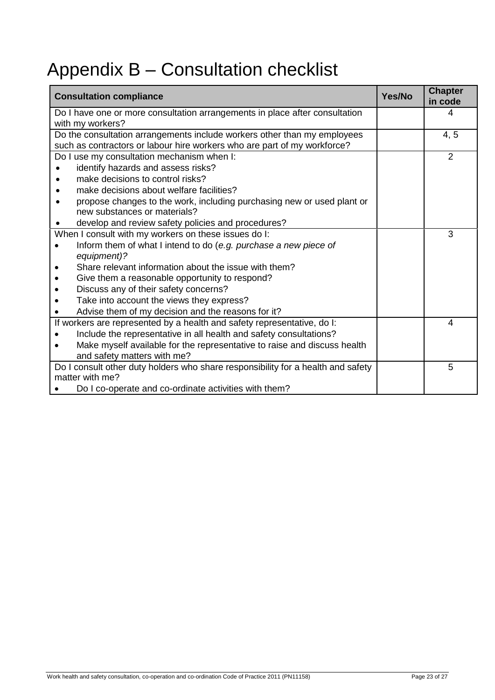# Appendix B – Consultation checklist

| <b>Consultation compliance</b>                                                   | Yes/No | <b>Chapter</b><br>in code |
|----------------------------------------------------------------------------------|--------|---------------------------|
| Do I have one or more consultation arrangements in place after consultation      |        | 4                         |
| with my workers?                                                                 |        |                           |
| Do the consultation arrangements include workers other than my employees         |        | 4, 5                      |
| such as contractors or labour hire workers who are part of my workforce?         |        |                           |
| Do I use my consultation mechanism when I:                                       |        | $\overline{2}$            |
| identify hazards and assess risks?                                               |        |                           |
| make decisions to control risks?                                                 |        |                           |
| make decisions about welfare facilities?                                         |        |                           |
| propose changes to the work, including purchasing new or used plant or           |        |                           |
| new substances or materials?                                                     |        |                           |
| develop and review safety policies and procedures?                               |        |                           |
| When I consult with my workers on these issues do I:                             |        | 3                         |
| Inform them of what I intend to do (e.g. purchase a new piece of                 |        |                           |
| equipment)?                                                                      |        |                           |
| Share relevant information about the issue with them?                            |        |                           |
| Give them a reasonable opportunity to respond?                                   |        |                           |
| Discuss any of their safety concerns?                                            |        |                           |
| Take into account the views they express?                                        |        |                           |
| Advise them of my decision and the reasons for it?                               |        |                           |
| If workers are represented by a health and safety representative, do I:          |        | 4                         |
| Include the representative in all health and safety consultations?               |        |                           |
| Make myself available for the representative to raise and discuss health         |        |                           |
| and safety matters with me?                                                      |        |                           |
| Do I consult other duty holders who share responsibility for a health and safety |        | 5                         |
| matter with me?                                                                  |        |                           |
| Do I co-operate and co-ordinate activities with them?                            |        |                           |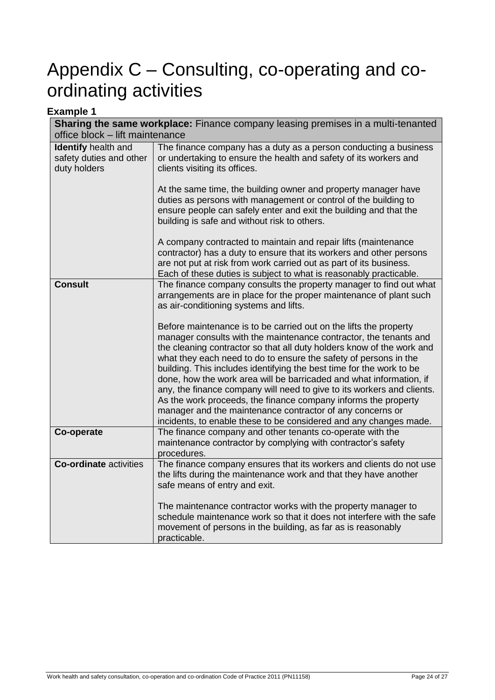# Appendix C – Consulting, co-operating and coordinating activities

| <b>Example 1</b>                                                      |                                                                                                                                                                                                                                                                                                                                                                                                                                                                                                                                                                                                                                                                                                                  |  |
|-----------------------------------------------------------------------|------------------------------------------------------------------------------------------------------------------------------------------------------------------------------------------------------------------------------------------------------------------------------------------------------------------------------------------------------------------------------------------------------------------------------------------------------------------------------------------------------------------------------------------------------------------------------------------------------------------------------------------------------------------------------------------------------------------|--|
|                                                                       | <b>Sharing the same workplace:</b> Finance company leasing premises in a multi-tenanted                                                                                                                                                                                                                                                                                                                                                                                                                                                                                                                                                                                                                          |  |
| office block - lift maintenance                                       |                                                                                                                                                                                                                                                                                                                                                                                                                                                                                                                                                                                                                                                                                                                  |  |
| <b>Identify</b> health and<br>safety duties and other<br>duty holders | The finance company has a duty as a person conducting a business<br>or undertaking to ensure the health and safety of its workers and<br>clients visiting its offices.                                                                                                                                                                                                                                                                                                                                                                                                                                                                                                                                           |  |
|                                                                       | At the same time, the building owner and property manager have<br>duties as persons with management or control of the building to<br>ensure people can safely enter and exit the building and that the<br>building is safe and without risk to others.                                                                                                                                                                                                                                                                                                                                                                                                                                                           |  |
|                                                                       | A company contracted to maintain and repair lifts (maintenance<br>contractor) has a duty to ensure that its workers and other persons<br>are not put at risk from work carried out as part of its business.<br>Each of these duties is subject to what is reasonably practicable.                                                                                                                                                                                                                                                                                                                                                                                                                                |  |
| <b>Consult</b>                                                        | The finance company consults the property manager to find out what<br>arrangements are in place for the proper maintenance of plant such<br>as air-conditioning systems and lifts.                                                                                                                                                                                                                                                                                                                                                                                                                                                                                                                               |  |
|                                                                       | Before maintenance is to be carried out on the lifts the property<br>manager consults with the maintenance contractor, the tenants and<br>the cleaning contractor so that all duty holders know of the work and<br>what they each need to do to ensure the safety of persons in the<br>building. This includes identifying the best time for the work to be<br>done, how the work area will be barricaded and what information, if<br>any, the finance company will need to give to its workers and clients.<br>As the work proceeds, the finance company informs the property<br>manager and the maintenance contractor of any concerns or<br>incidents, to enable these to be considered and any changes made. |  |
| Co-operate                                                            | The finance company and other tenants co-operate with the<br>maintenance contractor by complying with contractor's safety<br>procedures.                                                                                                                                                                                                                                                                                                                                                                                                                                                                                                                                                                         |  |
| <b>Co-ordinate activities</b>                                         | The finance company ensures that its workers and clients do not use<br>the lifts during the maintenance work and that they have another<br>safe means of entry and exit.                                                                                                                                                                                                                                                                                                                                                                                                                                                                                                                                         |  |
|                                                                       | The maintenance contractor works with the property manager to<br>schedule maintenance work so that it does not interfere with the safe<br>movement of persons in the building, as far as is reasonably<br>practicable.                                                                                                                                                                                                                                                                                                                                                                                                                                                                                           |  |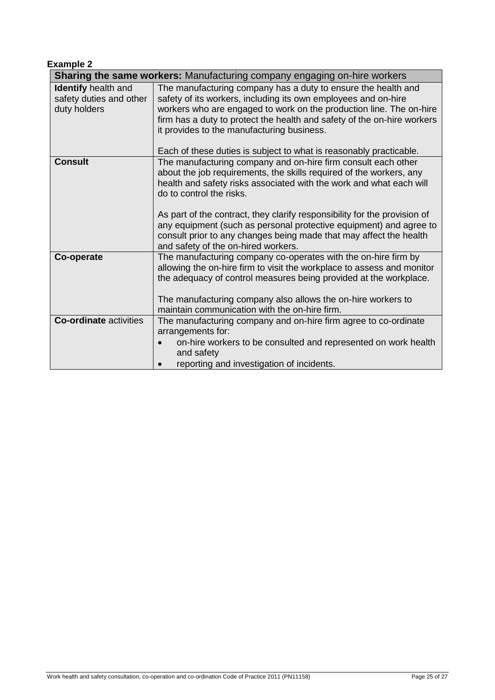| <b>Example 2</b> |  |
|------------------|--|
|                  |  |

| Sharing the same workers: Manufacturing company engaging on-hire workers |                                                                                                                                                                                                                                                                                                                                                                                                                                                                                                         |
|--------------------------------------------------------------------------|---------------------------------------------------------------------------------------------------------------------------------------------------------------------------------------------------------------------------------------------------------------------------------------------------------------------------------------------------------------------------------------------------------------------------------------------------------------------------------------------------------|
| <b>Identify</b> health and<br>safety duties and other<br>duty holders    | The manufacturing company has a duty to ensure the health and<br>safety of its workers, including its own employees and on-hire<br>workers who are engaged to work on the production line. The on-hire<br>firm has a duty to protect the health and safety of the on-hire workers<br>it provides to the manufacturing business.<br>Each of these duties is subject to what is reasonably practicable.                                                                                                   |
| <b>Consult</b>                                                           | The manufacturing company and on-hire firm consult each other<br>about the job requirements, the skills required of the workers, any<br>health and safety risks associated with the work and what each will<br>do to control the risks.<br>As part of the contract, they clarify responsibility for the provision of<br>any equipment (such as personal protective equipment) and agree to<br>consult prior to any changes being made that may affect the health<br>and safety of the on-hired workers. |
| Co-operate                                                               | The manufacturing company co-operates with the on-hire firm by<br>allowing the on-hire firm to visit the workplace to assess and monitor<br>the adequacy of control measures being provided at the workplace.<br>The manufacturing company also allows the on-hire workers to<br>maintain communication with the on-hire firm.                                                                                                                                                                          |
| <b>Co-ordinate activities</b>                                            | The manufacturing company and on-hire firm agree to co-ordinate<br>arrangements for:<br>on-hire workers to be consulted and represented on work health<br>and safety<br>reporting and investigation of incidents.                                                                                                                                                                                                                                                                                       |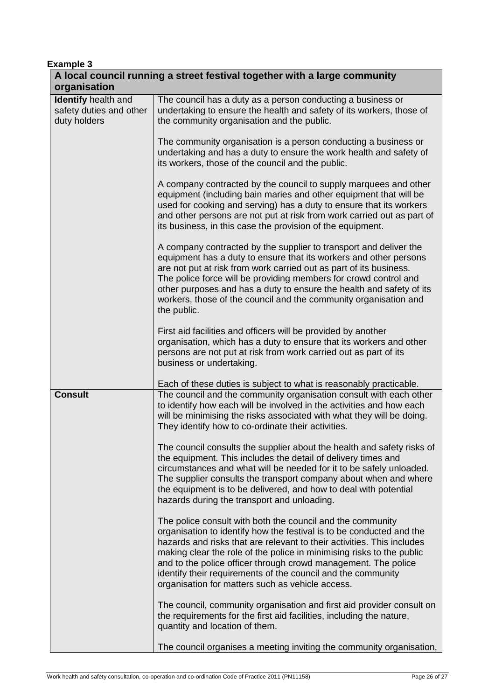| <b>Example 3</b>                                               |                                                                                                                                                                                                                                                                                                                                                                                                                                                                             |  |
|----------------------------------------------------------------|-----------------------------------------------------------------------------------------------------------------------------------------------------------------------------------------------------------------------------------------------------------------------------------------------------------------------------------------------------------------------------------------------------------------------------------------------------------------------------|--|
| organisation                                                   | A local council running a street festival together with a large community                                                                                                                                                                                                                                                                                                                                                                                                   |  |
| Identify health and<br>safety duties and other<br>duty holders | The council has a duty as a person conducting a business or<br>undertaking to ensure the health and safety of its workers, those of<br>the community organisation and the public.                                                                                                                                                                                                                                                                                           |  |
|                                                                | The community organisation is a person conducting a business or<br>undertaking and has a duty to ensure the work health and safety of<br>its workers, those of the council and the public.                                                                                                                                                                                                                                                                                  |  |
|                                                                | A company contracted by the council to supply marquees and other<br>equipment (including bain maries and other equipment that will be<br>used for cooking and serving) has a duty to ensure that its workers<br>and other persons are not put at risk from work carried out as part of<br>its business, in this case the provision of the equipment.                                                                                                                        |  |
|                                                                | A company contracted by the supplier to transport and deliver the<br>equipment has a duty to ensure that its workers and other persons<br>are not put at risk from work carried out as part of its business.<br>The police force will be providing members for crowd control and<br>other purposes and has a duty to ensure the health and safety of its<br>workers, those of the council and the community organisation and<br>the public.                                 |  |
|                                                                | First aid facilities and officers will be provided by another<br>organisation, which has a duty to ensure that its workers and other<br>persons are not put at risk from work carried out as part of its<br>business or undertaking.                                                                                                                                                                                                                                        |  |
| <b>Consult</b>                                                 | Each of these duties is subject to what is reasonably practicable.<br>The council and the community organisation consult with each other<br>to identify how each will be involved in the activities and how each<br>will be minimising the risks associated with what they will be doing.<br>They identify how to co-ordinate their activities.                                                                                                                             |  |
|                                                                | The council consults the supplier about the health and safety risks of<br>the equipment. This includes the detail of delivery times and<br>circumstances and what will be needed for it to be safely unloaded.<br>The supplier consults the transport company about when and where<br>the equipment is to be delivered, and how to deal with potential<br>hazards during the transport and unloading.                                                                       |  |
|                                                                | The police consult with both the council and the community<br>organisation to identify how the festival is to be conducted and the<br>hazards and risks that are relevant to their activities. This includes<br>making clear the role of the police in minimising risks to the public<br>and to the police officer through crowd management. The police<br>identify their requirements of the council and the community<br>organisation for matters such as vehicle access. |  |
|                                                                | The council, community organisation and first aid provider consult on<br>the requirements for the first aid facilities, including the nature,<br>quantity and location of them.                                                                                                                                                                                                                                                                                             |  |
|                                                                | The council organises a meeting inviting the community organisation,                                                                                                                                                                                                                                                                                                                                                                                                        |  |